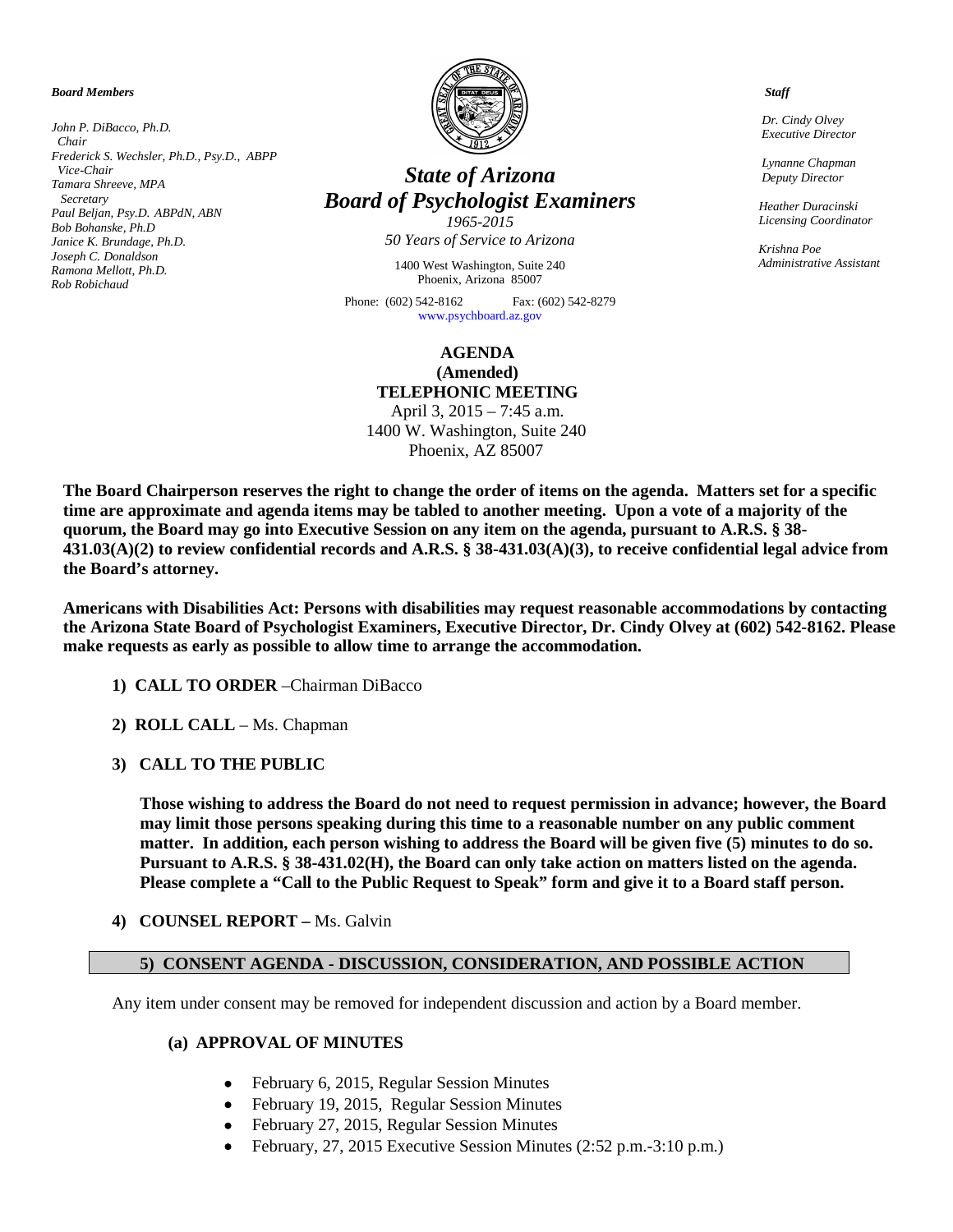*Board Members*

*John P. DiBacco, Ph.D. Chair Frederick S. Wechsler, Ph.D., Psy.D., ABPP Vice-Chair Tamara Shreeve, MPA Secretary Paul Beljan, Psy.D. ABPdN, ABN Bob Bohanske, Ph.D Janice K. Brundage, Ph.D. Joseph C. Donaldson Ramona Mellott, Ph.D. Rob Robichaud*



# *State of Arizona Board of Psychologist Examiners*

*1965-2015 50 Years of Service to Arizona*

1400 West Washington, Suite 240 Phoenix, Arizona 85007

Phone: (602) 542-8162 Fax: (602) 542-8279 [www.psychboard.az.gov](http://www.psychboard.az.gov/) 

# **AGENDA (Amended) TELEPHONIC MEETING**

April 3, 2015 – 7:45 a.m. 1400 W. Washington, Suite 240 Phoenix, AZ 85007

**The Board Chairperson reserves the right to change the order of items on the agenda. Matters set for a specific time are approximate and agenda items may be tabled to another meeting. Upon a vote of a majority of the quorum, the Board may go into Executive Session on any item on the agenda, pursuant to A.R.S. § 38- 431.03(A)(2) to review confidential records and A.R.S. § 38-431.03(A)(3), to receive confidential legal advice from the Board's attorney.**

**Americans with Disabilities Act: Persons with disabilities may request reasonable accommodations by contacting the Arizona State Board of Psychologist Examiners, Executive Director, Dr. Cindy Olvey at (602) 542-8162. Please make requests as early as possible to allow time to arrange the accommodation.**

- **1) CALL TO ORDER** –Chairman DiBacco
- **2) ROLL CALL** Ms. Chapman
- **3) CALL TO THE PUBLIC**

**Those wishing to address the Board do not need to request permission in advance; however, the Board may limit those persons speaking during this time to a reasonable number on any public comment matter. In addition, each person wishing to address the Board will be given five (5) minutes to do so. Pursuant to A.R.S. § 38-431.02(H), the Board can only take action on matters listed on the agenda. Please complete a "Call to the Public Request to Speak" form and give it to a Board staff person.**

**4) COUNSEL REPORT –** Ms. Galvin

## **5) CONSENT AGENDA - DISCUSSION, CONSIDERATION, AND POSSIBLE ACTION**

Any item under consent may be removed for independent discussion and action by a Board member.

#### **(a) APPROVAL OF MINUTES**

- February 6, 2015, Regular Session Minutes
- February 19, 2015, Regular Session Minutes
- February 27, 2015, Regular Session Minutes
- February, 27, 2015 Executive Session Minutes (2:52 p.m.-3:10 p.m.)

 *Staff*

 *Dr. Cindy Olvey Executive Director*

 *Lynanne Chapman Deputy Director*

 *Heather Duracinski Licensing Coordinator*

 *Krishna Poe Administrative Assistant*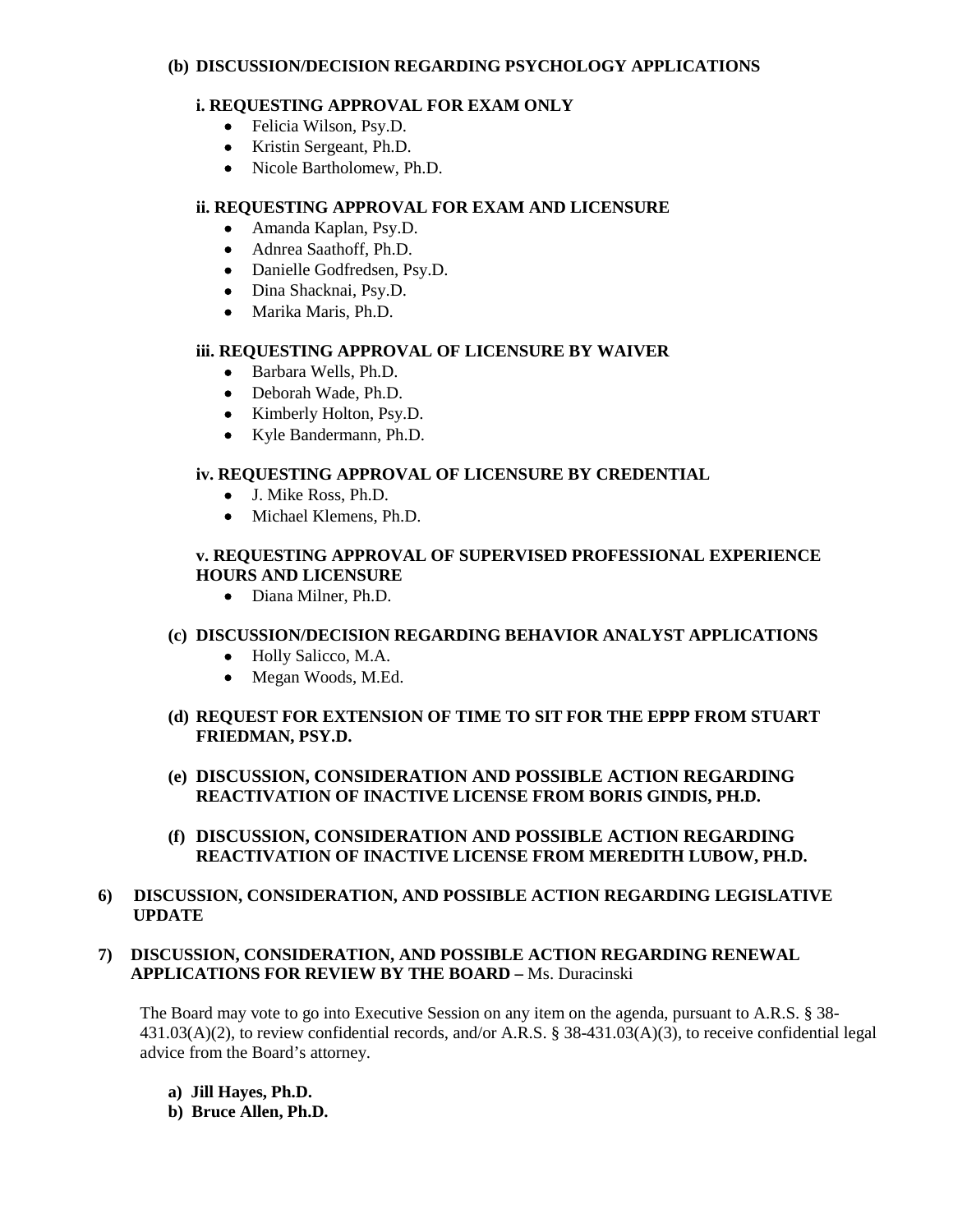#### **(b) DISCUSSION/DECISION REGARDING PSYCHOLOGY APPLICATIONS**

## **i. REQUESTING APPROVAL FOR EXAM ONLY**

- Felicia Wilson, Psy.D.
- Kristin Sergeant, Ph.D.
- Nicole Bartholomew, Ph.D.

## **ii. REQUESTING APPROVAL FOR EXAM AND LICENSURE**

- Amanda Kaplan, Psy.D.
- Adnrea Saathoff, Ph.D.
- Danielle Godfredsen, Psy.D.
- Dina Shacknai, Psy.D.
- Marika Maris, Ph.D.

#### **iii. REQUESTING APPROVAL OF LICENSURE BY WAIVER**

- Barbara Wells, Ph.D.
- Deborah Wade, Ph.D.
- Kimberly Holton, Psy.D.
- Kyle Bandermann, Ph.D.

# **iv. REQUESTING APPROVAL OF LICENSURE BY CREDENTIAL**

- J. Mike Ross, Ph.D.
- Michael Klemens, Ph.D.

## **v. REQUESTING APPROVAL OF SUPERVISED PROFESSIONAL EXPERIENCE HOURS AND LICENSURE**

• Diana Milner, Ph.D.

## **(c) DISCUSSION/DECISION REGARDING BEHAVIOR ANALYST APPLICATIONS**

- Holly Salicco, M.A.
- Megan Woods, M.Ed.
- **(d) REQUEST FOR EXTENSION OF TIME TO SIT FOR THE EPPP FROM STUART FRIEDMAN, PSY.D.**
- **(e) DISCUSSION, CONSIDERATION AND POSSIBLE ACTION REGARDING REACTIVATION OF INACTIVE LICENSE FROM BORIS GINDIS, PH.D.**
- **(f) DISCUSSION, CONSIDERATION AND POSSIBLE ACTION REGARDING REACTIVATION OF INACTIVE LICENSE FROM MEREDITH LUBOW, PH.D.**

## **6) DISCUSSION, CONSIDERATION, AND POSSIBLE ACTION REGARDING LEGISLATIVE UPDATE**

## **7) DISCUSSION, CONSIDERATION, AND POSSIBLE ACTION REGARDING RENEWAL APPLICATIONS FOR REVIEW BY THE BOARD –** Ms. Duracinski

The Board may vote to go into Executive Session on any item on the agenda, pursuant to A.R.S. § 38-431.03(A)(2), to review confidential records, and/or A.R.S. § 38-431.03(A)(3), to receive confidential legal advice from the Board's attorney.

- **a) Jill Hayes, Ph.D.**
- **b) Bruce Allen, Ph.D.**